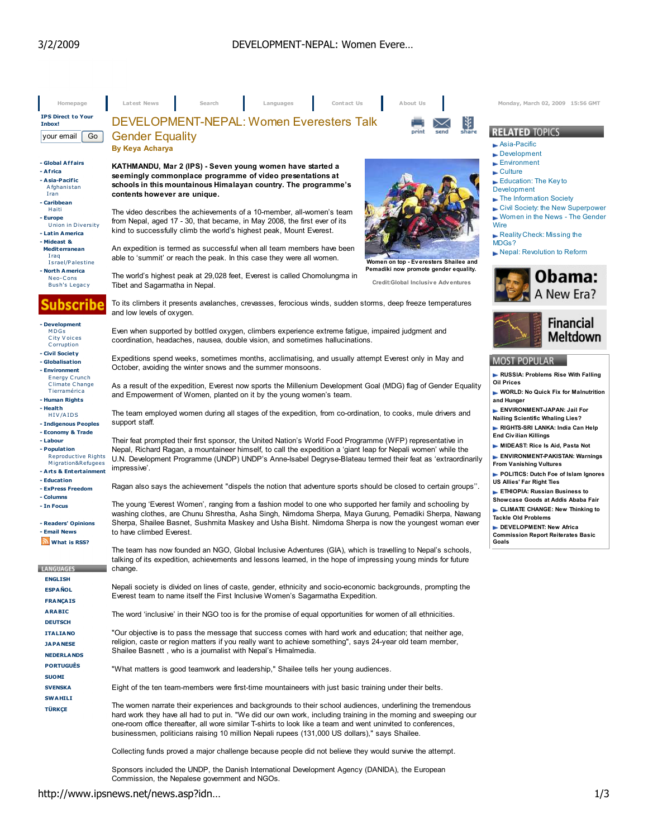| Homepage                                                                                                                               | Latest News<br>Contact Us<br>Search<br>Languages                                                                                                                                                                                                                                                                                                                                                                                               | About Us                                                                                                                                                                             | Monday, March 02, 2009 15:56 GMT                                                                                                                                                                                              |  |  |
|----------------------------------------------------------------------------------------------------------------------------------------|------------------------------------------------------------------------------------------------------------------------------------------------------------------------------------------------------------------------------------------------------------------------------------------------------------------------------------------------------------------------------------------------------------------------------------------------|--------------------------------------------------------------------------------------------------------------------------------------------------------------------------------------|-------------------------------------------------------------------------------------------------------------------------------------------------------------------------------------------------------------------------------|--|--|
| <b>IPS Direct to Your</b><br>Inbox!                                                                                                    | DEVELOPMENT-NEPAL: Women Everesters Talk                                                                                                                                                                                                                                                                                                                                                                                                       | L¥.                                                                                                                                                                                  |                                                                                                                                                                                                                               |  |  |
| Go<br>your email                                                                                                                       | <b>Gender Equality</b><br><b>By Keya Acharya</b>                                                                                                                                                                                                                                                                                                                                                                                               | share<br>send                                                                                                                                                                        | <b>RELATED TOPICS</b><br>$\blacktriangleright$ Asia-Pacific<br>$\blacktriangleright$ Development                                                                                                                              |  |  |
| - Global Affairs<br>- Africa<br>- Asia-Pacific<br>Afghanistan<br>Iran<br>- Caribbean<br>Haiti<br>- Europe<br><b>Union in Diversity</b> | KATHMANDU, Mar 2 (IPS) - Seven young women have started a<br>seemingly commonplace programme of video presentations at<br>schools in this mountainous Himalayan country. The programme's<br>contents however are unique.<br>The video describes the achievements of a 10-member, all-women's team<br>from Nepal, aged 17 - 30, that became, in May 2008, the first ever of its                                                                 |                                                                                                                                                                                      | Environment<br>$\blacktriangleright$ Culture<br>$\blacktriangleright$ Education: The Key to<br><b>Development</b><br>The Information Society<br>Civil Society: the New Superpower<br>► Women in the News - The Gender<br>Wire |  |  |
| - Latin America<br>- Mideast &<br><b>Mediterranean</b><br>Iraq<br>Israel/Palestine<br>- North America                                  | kind to successfully climb the world's highest peak, Mount Everest.<br>An expedition is termed as successful when all team members have been<br>able to 'summit' or reach the peak. In this case they were all women.                                                                                                                                                                                                                          | Women on top - Everesters Shailee and<br>Pemadiki now promote gender equality.                                                                                                       | Reality Check: Missing the<br>MDGs?<br>Nepal: Revolution to Reform                                                                                                                                                            |  |  |
| Neo-Cons<br><b>Bush's Legacy</b>                                                                                                       | The world's highest peak at 29,028 feet, Everest is called Chomolungma in<br>Tibet and Sagarmatha in Nepal.                                                                                                                                                                                                                                                                                                                                    | Credit:Global Inclusive Adventures                                                                                                                                                   | Obama:<br>A New Era?                                                                                                                                                                                                          |  |  |
| ubscribe                                                                                                                               | To its climbers it presents avalanches, crevasses, ferocious winds, sudden storms, deep freeze temperatures<br>and low levels of oxygen.                                                                                                                                                                                                                                                                                                       |                                                                                                                                                                                      |                                                                                                                                                                                                                               |  |  |
| - Development<br><b>MDGs</b><br>City Voices<br>Corruption                                                                              | Even when supported by bottled oxygen, climbers experience extreme fatigue, impaired judgment and<br>coordination, headaches, nausea, double vision, and sometimes hallucinations.                                                                                                                                                                                                                                                             | <b>Financial</b><br>Meltdown                                                                                                                                                         |                                                                                                                                                                                                                               |  |  |
| - Civil Society<br>- Globalisation<br>- Environment<br><b>Energy Crunch</b>                                                            | Expeditions spend weeks, sometimes months, acclimatising, and usually attempt Everest only in May and<br>October, avoiding the winter snows and the summer monsoons.                                                                                                                                                                                                                                                                           | <b>MOST POPULAR</b><br>RUSSIA: Problems Rise With Falling                                                                                                                            |                                                                                                                                                                                                                               |  |  |
| <b>Climate Change</b><br>Tierramérica<br>- Human Rights<br>- Health                                                                    | As a result of the expedition, Everest now sports the Millenium Development Goal (MDG) flag of Gender Equality<br>and Empowerment of Women, planted on it by the young women's team.                                                                                                                                                                                                                                                           | <b>Oil Prices</b><br>WORLD: No Quick Fix for Malnutrition<br>and Hunger                                                                                                              |                                                                                                                                                                                                                               |  |  |
| HIV/AIDS<br>- Indigenous Peoples<br>- Economy & Trade                                                                                  | The team employed women during all stages of the expedition, from co-ordination, to cooks, mule drivers and<br>support staff.                                                                                                                                                                                                                                                                                                                  | ENVIRONMENT-JAPAN: Jail For<br><b>Nailing Scientific Whaling Lies?</b><br>RIGHTS-SRI LANKA: India Can Help<br><b>End Civilian Killings</b>                                           |                                                                                                                                                                                                                               |  |  |
| - Labour<br>- Population<br><b>Reproductive Rights</b><br>Migration&Refugees<br>- Arts & Entertainment                                 | Their feat prompted their first sponsor, the United Nation's World Food Programme (WFP) representative in<br>Nepal, Richard Ragan, a mountaineer himself, to call the expedition a 'giant leap for Nepali women' while the<br>U.N. Development Programme (UNDP) UNDP's Anne-Isabel Degryse-Blateau termed their feat as 'extraordinarily<br>impressive'.                                                                                       | MIDEAST: Rice Is Aid, Pasta Not<br>ENVIRONMENT-PAKISTAN: Warnings<br><b>From Vanishing Vultures</b><br>POLITICS: Dutch Foe of Islam Ignores                                          |                                                                                                                                                                                                                               |  |  |
| - Education<br>- ExPress Freedom                                                                                                       | Ragan also says the achievement "dispels the notion that adventure sports should be closed to certain groups".                                                                                                                                                                                                                                                                                                                                 | US Allies' Far Right Ties<br>ETHIOPIA: Russian Business to                                                                                                                           |                                                                                                                                                                                                                               |  |  |
| - Columns<br>- In Focus<br>- Readers' Opinions<br>- Email News<br>What is RSS?                                                         | The young 'Everest Women', ranging from a fashion model to one who supported her family and schooling by<br>washing clothes, are Chunu Shrestha, Asha Singh, Nimdoma Sherpa, Maya Gurung, Pemadiki Sherpa, Nawang<br>Sherpa, Shailee Basnet, Sushmita Maskey and Usha Bisht. Nimdoma Sherpa is now the youngest woman ever<br>to have climbed Everest.                                                                                         | Showcase Goods at Addis Ababa Fair<br>CLIMATE CHANGE: New Thinking to<br><b>Tackle Old Problems</b><br>DEVELOPMENT: New Africa<br><b>Commission Report Reiterates Basic</b><br>Goals |                                                                                                                                                                                                                               |  |  |
| <b>LANGUAGES</b>                                                                                                                       | The team has now founded an NGO, Global Inclusive Adventures (GIA), which is travelling to Nepal's schools,<br>talking of its expedition, achievements and lessons learned, in the hope of impressing young minds for future<br>change.                                                                                                                                                                                                        |                                                                                                                                                                                      |                                                                                                                                                                                                                               |  |  |
| <b>ENGLISH</b><br><b>ESPAÑOL</b><br><b>FRANÇAIS</b>                                                                                    | Nepali society is divided on lines of caste, gender, ethnicity and socio-economic backgrounds, prompting the<br>Everest team to name itself the First Inclusive Women's Sagarmatha Expedition.                                                                                                                                                                                                                                                 |                                                                                                                                                                                      |                                                                                                                                                                                                                               |  |  |
| <b>ARABIC</b><br><b>DEUTSCH</b>                                                                                                        | The word 'inclusive' in their NGO too is for the promise of equal opportunities for women of all ethnicities.                                                                                                                                                                                                                                                                                                                                  |                                                                                                                                                                                      |                                                                                                                                                                                                                               |  |  |
| <b>ITALIANO</b><br><b>JAPANESE</b><br><b>NEDERLANDS</b>                                                                                | "Our objective is to pass the message that success comes with hard work and education; that neither age,<br>religion, caste or region matters if you really want to achieve something", says 24-year old team member,<br>Shailee Basnett, who is a journalist with Nepal's Himalmedia.                                                                                                                                                         |                                                                                                                                                                                      |                                                                                                                                                                                                                               |  |  |
| <b>PORTUGUÊS</b><br><b>SUOMI</b>                                                                                                       | "What matters is good teamwork and leadership," Shailee tells her young audiences.                                                                                                                                                                                                                                                                                                                                                             |                                                                                                                                                                                      |                                                                                                                                                                                                                               |  |  |
| <b>SVENSKA</b><br><b>SWAHILI</b>                                                                                                       | Eight of the ten team-members were first-time mountaineers with just basic training under their belts.                                                                                                                                                                                                                                                                                                                                         |                                                                                                                                                                                      |                                                                                                                                                                                                                               |  |  |
| <b>TÜRKÇE</b>                                                                                                                          | The women narrate their experiences and backgrounds to their school audiences, underlining the tremendous<br>hard work they have all had to put in. "We did our own work, including training in the morning and sweeping our<br>one-room office thereafter, all wore similar T-shirts to look like a team and went uninvited to conferences,<br>businessmen, politicians raising 10 million Nepali rupees (131,000 US dollars)," says Shailee. |                                                                                                                                                                                      |                                                                                                                                                                                                                               |  |  |
|                                                                                                                                        | Collecting funds proved a major challenge because people did not believe they would survive the attempt.                                                                                                                                                                                                                                                                                                                                       |                                                                                                                                                                                      |                                                                                                                                                                                                                               |  |  |
|                                                                                                                                        | Sponsors included the UNDP, the Danish International Development Agency (DANIDA), the European<br>Commission, the Nepalese government and NGOs.                                                                                                                                                                                                                                                                                                |                                                                                                                                                                                      |                                                                                                                                                                                                                               |  |  |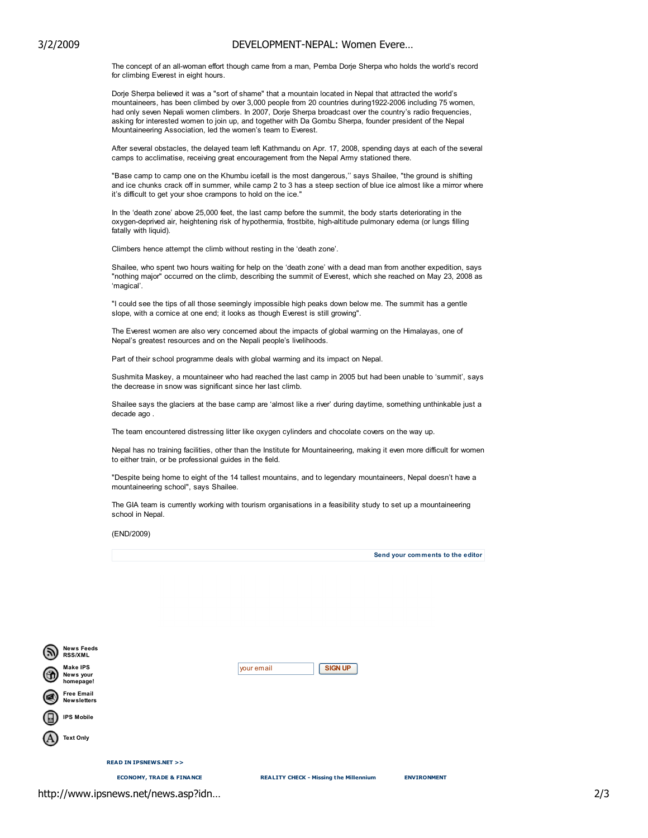## 3/2/2009 DEVELOPMENT-NEPAL: Women Evere…

The concept of an all-woman effort though came from a man, Pemba Dorje Sherpa who holds the world's record for climbing Everest in eight hours.

Dorje Sherpa believed it was a "sort of shame" that a mountain located in Nepal that attracted the world's mountaineers, has been climbed by over 3,000 people from 20 countries during1922-2006 including 75 women, had only seven Nepali women climbers. In 2007, Dorje Sherpa broadcast over the country's radio frequencies, asking for interested women to join up, and together with Da Gombu Sherpa, founder president of the Nepal Mountaineering Association, led the women's team to Everest.

After several obstacles, the delayed team left Kathmandu on Apr. 17, 2008, spending days at each of the several camps to acclimatise, receiving great encouragement from the Nepal Army stationed there.

"Base camp to camp one on the Khumbu icefall is the most dangerous,'' says Shailee, "the ground is shifting and ice chunks crack off in summer, while camp 2 to 3 has a steep section of blue ice almost like a mirror where it's difficult to get your shoe crampons to hold on the ice."

In the 'death zone' above 25,000 feet, the last camp before the summit, the body starts deteriorating in the oxygen-deprived air, heightening risk of hypothermia, frostbite, high-altitude pulmonary edema (or lungs filling fatally with liquid).

Climbers hence attempt the climb without resting in the 'death zone'.

Shailee, who spent two hours waiting for help on the 'death zone' with a dead man from another expedition, says "nothing major" occurred on the climb, describing the summit of Everest, which she reached on May 23, 2008 as 'magical'.

"I could see the tips of all those seemingly impossible high peaks down below me. The summit has a gentle slope, with a cornice at one end; it looks as though Everest is still growing".

The Everest women are also very concerned about the impacts of global warming on the Himalayas, one of Nepal's greatest resources and on the Nepali people's livelihoods.

Part of their school programme deals with global warming and its impact on Nepal.

Sushmita Maskey, a mountaineer who had reached the last camp in 2005 but had been unable to 'summit', says the decrease in snow was significant since her last climb.

Shailee says the glaciers at the base camp are 'almost like a river' during daytime, something unthinkable just a decade ago .

The team encountered distressing litter like oxygen cylinders and chocolate covers on the way up.

Nepal has no training facilities, other than the Institute for Mountaineering, making it even more difficult for women to either train, or be professional guides in the field.

"Despite being home to eight of the 14 tallest mountains, and to legendary mountaineers, Nepal doesn't have a mountaineering school", says Shailee.

The GIA team is currently working with tourism organisations in a feasibility study to set up a mountaineering school in Nepal.

(END/2009)

Send your comments to the editor

|   |                                           | <b>ECONOMY, TRADE &amp; FINANCE</b> | <b>REALITY CHECK - Missing the Millennium</b> | <b>ENVIRONMENT</b> |
|---|-------------------------------------------|-------------------------------------|-----------------------------------------------|--------------------|
|   |                                           | <b>READ IN IPSNEWS.NET &gt;&gt;</b> |                                               |                    |
|   | <b>Text Only</b>                          |                                     |                                               |                    |
| ы | <b>IPS Mobile</b>                         |                                     |                                               |                    |
|   | <b>Free Email</b><br><b>New sletters</b>  |                                     |                                               |                    |
| 倚 | <b>Make IPS</b><br>News your<br>homepage! |                                     | <b>SIGN UP</b><br>your email                  |                    |
|   | News Feeds<br><b>RSS/XML</b>              |                                     |                                               |                    |

http://www.ipsnews.net/news.asp?idn… 2/3